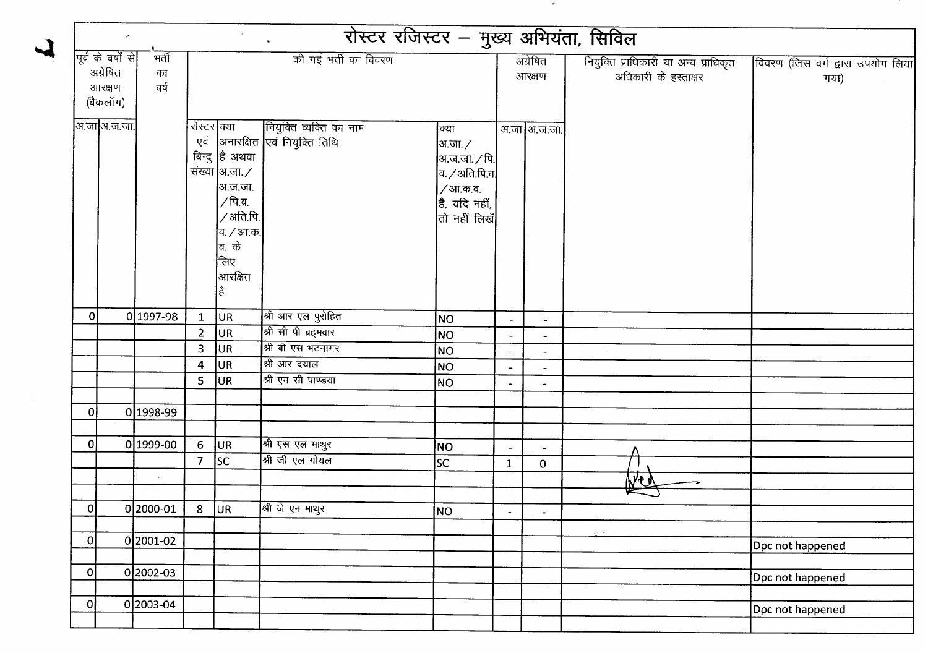|                |                                                       |                     |                    | $\mathcal{F}$                                                                                                               | रोस्टर रजिस्टर – मुख्य अभियंता, सिविल<br>$\sim 100$                  |                                                                                                                                |                          |                          |                                                               |                                           |
|----------------|-------------------------------------------------------|---------------------|--------------------|-----------------------------------------------------------------------------------------------------------------------------|----------------------------------------------------------------------|--------------------------------------------------------------------------------------------------------------------------------|--------------------------|--------------------------|---------------------------------------------------------------|-------------------------------------------|
|                | पूर्व के वर्षों से <br>अग्रेषित<br>आरक्षण<br>(बैकलॉग) | मर्ती<br>का<br>নৰ্ষ |                    | की गई भर्ती का विवरण                                                                                                        |                                                                      |                                                                                                                                |                          | अग्रेषित<br>आरक्षण       | नियुक्ति प्राधिकारी या अन्य प्राधिकृत<br>अधिकारी के हस्ताक्षर | विवरण (जिस वर्ग द्वारा उपयोग लिया<br>गया) |
|                | अ.जा अ.ज.जा.                                          |                     | रोस्टर क्या<br>एवं | बिन्दु है अथवा<br>संख्या अ.जा. ⁄<br> अ.ज.जा.<br>∕ पि.व.<br>/अति.पि.<br>व. / आ.क. <br> व. के<br>लिए<br>$\vert$ आरक्षित<br>है | नियुक्ति व्यक्ति का नाम<br> अनारक्षित <mark>एवं नियुक्ति तिथि</mark> | क्या<br>अ.जा. $\angle$<br> अ.ज.जा. ∕ पि. <b> </b><br>$ $ व. $\angle$ अति.पि.व $ $<br>/आ.क.व.<br>है, यदि नहीं,<br>तो नहीं लिखें |                          | अ.जा अ.ज.जा.             |                                                               |                                           |
| 0              |                                                       | 0 1997-98           | $\mathbf{1}$       | UR.                                                                                                                         | श्री आर एल पुरोहित                                                   | NO                                                                                                                             | $\blacksquare$           | $\overline{\phantom{a}}$ |                                                               |                                           |
|                |                                                       |                     | $\overline{2}$     | UR.                                                                                                                         | श्री सी पी ब्रहमवार                                                  | NO.                                                                                                                            | $\overline{\phantom{a}}$ | $\sim$                   |                                                               |                                           |
|                |                                                       |                     | $\mathbf{3}$       | UR                                                                                                                          | श्री बी एस भटनागर                                                    | NO                                                                                                                             | $\blacksquare$           | $\blacksquare$           |                                                               |                                           |
|                |                                                       |                     | 4                  | UR                                                                                                                          | श्री आर दयाल                                                         | NO                                                                                                                             | $\blacksquare$           | $\overline{\phantom{a}}$ |                                                               |                                           |
|                |                                                       |                     | 5                  | UR.                                                                                                                         | श्री एम सी पाण्डया                                                   | NO <sub>1</sub>                                                                                                                | $\blacksquare$           | $\blacksquare$           |                                                               |                                           |
|                |                                                       |                     |                    |                                                                                                                             |                                                                      |                                                                                                                                |                          |                          |                                                               |                                           |
| 0              |                                                       | 0 1998-99           |                    |                                                                                                                             |                                                                      |                                                                                                                                |                          |                          |                                                               |                                           |
| $\overline{0}$ |                                                       | $0 1999-00$         | 6                  | UR.                                                                                                                         | श्री एस एल माथुर                                                     |                                                                                                                                |                          |                          |                                                               |                                           |
|                |                                                       |                     | 7 <sup>7</sup>     | sc                                                                                                                          | श्री जी एल गोयल                                                      | NO                                                                                                                             | $\overline{\phantom{a}}$ | $\blacksquare$           |                                                               |                                           |
|                |                                                       |                     |                    |                                                                                                                             |                                                                      | <b>SC</b>                                                                                                                      | $\mathbf{1}$             | $\mathbf{0}$             |                                                               |                                           |
|                |                                                       |                     |                    |                                                                                                                             |                                                                      |                                                                                                                                |                          |                          | <b>WC</b>                                                     |                                           |
| 0              |                                                       | 0 2000-01           | 8 <sup>°</sup>     | UR                                                                                                                          | श्री जे एन माथुर                                                     | NO                                                                                                                             |                          |                          |                                                               |                                           |
|                |                                                       |                     |                    |                                                                                                                             | ◡                                                                    |                                                                                                                                |                          |                          |                                                               |                                           |
| $\overline{0}$ |                                                       | 0 2001-02           |                    |                                                                                                                             |                                                                      |                                                                                                                                |                          |                          |                                                               | Dpc not happened                          |
|                |                                                       |                     |                    |                                                                                                                             |                                                                      |                                                                                                                                |                          |                          |                                                               |                                           |
| $\overline{0}$ |                                                       | $0 2002-03$         |                    |                                                                                                                             |                                                                      |                                                                                                                                |                          |                          |                                                               | Dpc not happened                          |
|                |                                                       |                     |                    |                                                                                                                             |                                                                      |                                                                                                                                |                          |                          |                                                               |                                           |
| 0              |                                                       | $0 2003 - 04$       |                    |                                                                                                                             |                                                                      |                                                                                                                                |                          |                          |                                                               | Dpc not happened                          |
|                |                                                       |                     |                    |                                                                                                                             |                                                                      |                                                                                                                                |                          |                          |                                                               |                                           |

 $\blacktriangle$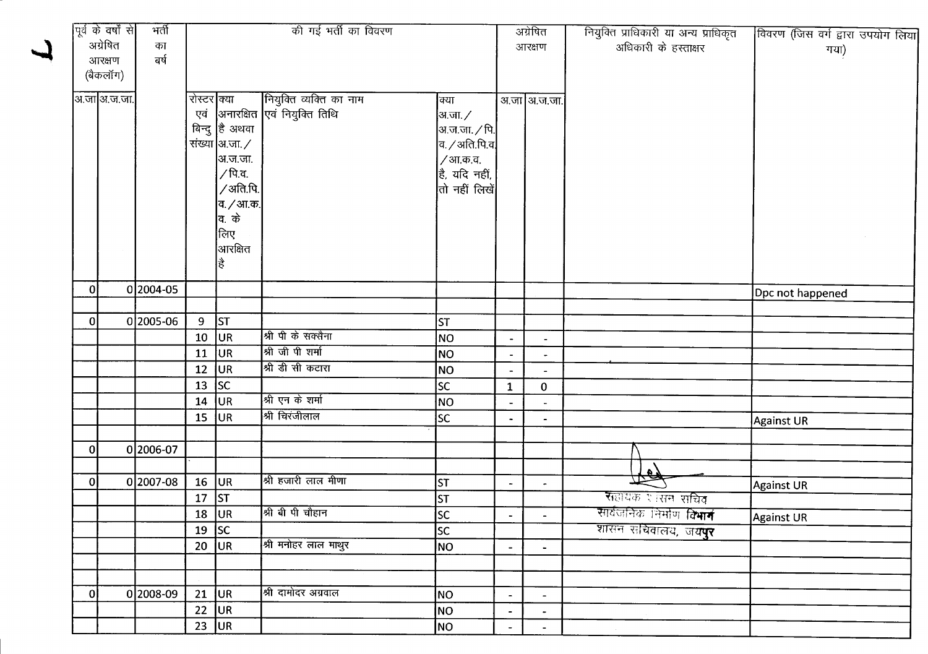|                | पूर्व के वर्षों से | भर्ती     |                 |                           | की गई भर्ती का विवरण             |                               | अग्रेषित                     |                          | नियुक्ति प्राधिकारी या अन्य प्राधिकृत | विवरण (जिस वर्ग द्वारा उपयोग लिया |
|----------------|--------------------|-----------|-----------------|---------------------------|----------------------------------|-------------------------------|------------------------------|--------------------------|---------------------------------------|-----------------------------------|
|                | अग्रेषित<br>का     |           |                 |                           |                                  |                               |                              | आरक्षण                   | अधिकारी के हस्ताक्षर                  | गया)                              |
|                | आरक्षण             | ৰৰ্ষ      |                 |                           |                                  |                               |                              |                          |                                       |                                   |
|                | (बैकलॉग)           |           |                 |                           |                                  |                               |                              |                          |                                       |                                   |
|                | अ.जा अ.ज.जा.       |           | रोस्टर क्या     |                           | नियुक्ति व्यक्ति का नाम          | क्या                          |                              | अ.जा अ.ज.जा.             |                                       |                                   |
|                |                    |           |                 |                           | एवं  अनारक्षित एवं नियुक्ति तिथि | अ.जा. ∕                       |                              |                          |                                       |                                   |
|                |                    |           |                 | बिन्दु है अथवा            |                                  | अ.ज.जा. $\sqrt{$ पि.          |                              |                          |                                       |                                   |
|                |                    |           |                 | संख्या $ $ अ.जा. $\times$ |                                  | $ $ व. $\diagup$ अति.पि.व $ $ |                              |                          |                                       |                                   |
|                |                    |           |                 | अ.ज.जा.                   |                                  | /आ.क.व.                       |                              |                          |                                       |                                   |
|                |                    |           |                 | ∕ पि.व.                   |                                  | है, यदि नहीं,                 |                              |                          |                                       |                                   |
|                |                    |           |                 | ∕ अति.पि.│                |                                  | तो नहीं लिखें                 |                              |                          |                                       |                                   |
|                |                    |           |                 | व. <i>/</i> आ.क.          |                                  |                               |                              |                          |                                       |                                   |
|                |                    |           |                 | <b>बि. के</b>             |                                  |                               |                              |                          |                                       |                                   |
|                |                    |           |                 | लिए                       |                                  |                               |                              |                          |                                       |                                   |
|                |                    |           |                 | आरक्षित                   |                                  |                               |                              |                          |                                       |                                   |
|                |                    |           |                 | है                        |                                  |                               |                              |                          |                                       |                                   |
|                |                    |           |                 |                           |                                  |                               |                              |                          |                                       |                                   |
| 0              |                    | 0 2004-05 |                 |                           |                                  |                               |                              |                          |                                       | Dpc not happened                  |
|                |                    |           |                 |                           |                                  |                               |                              |                          |                                       |                                   |
| 0              |                    | 0 2005-06 | 9 <sub>o</sub>  | <b>ST</b>                 | श्री पी के सक्सैना               | st                            |                              |                          |                                       |                                   |
|                |                    |           | 10 <sub>1</sub> | UR                        | श्री जी पी शर्मा                 | NO                            | $\qquad \qquad \blacksquare$ | $\overline{\phantom{a}}$ |                                       |                                   |
|                |                    |           | 11              | UR                        |                                  | NO                            |                              | $\blacksquare$           |                                       |                                   |
|                |                    |           | 12              | UR                        | श्री डी सी कटारा                 | NO                            | $\overline{\phantom{a}}$     | $\blacksquare$           |                                       |                                   |
|                |                    |           | 13              | sc                        |                                  | sc                            | $\mathbf{1}$                 | $\mathbf 0$              |                                       |                                   |
|                |                    |           | 14              | UR.                       | श्री एन के शर्मा                 | NO                            | $\blacksquare$               | $\overline{a}$           |                                       |                                   |
|                |                    |           | 15              | <b>JUR</b>                | श्री चिरंजीलाल                   | lsc                           | $\bullet$                    | $\blacksquare$           |                                       | Against UR                        |
|                |                    |           |                 |                           |                                  |                               |                              |                          |                                       |                                   |
| $\overline{0}$ |                    | 02006-07  |                 |                           |                                  |                               |                              |                          |                                       |                                   |
|                |                    |           |                 |                           |                                  |                               |                              |                          | the                                   |                                   |
| οI             |                    | 0 2007-08 | 16              | UR.                       | श्री हजारी लाल मीणा              | <b>ST</b>                     | $\blacksquare$               | $\blacksquare$           |                                       | Against UR                        |
|                |                    |           | 17              | <b>ST</b>                 |                                  | <b>ST</b>                     |                              |                          | <b>स</b> हायक र त्सन सचिव             |                                   |
|                |                    |           |                 | $18$ UR                   | श्री बी पी चौहान                 | $\overline{\text{sc}}$        | $\sim$                       |                          | सार्वजनिक निर्माण वि <b>भाग</b>       | <b>Against UR</b>                 |
|                |                    |           |                 | 19 $ SC$                  |                                  | <b>SC</b>                     |                              |                          | शासन सचिवालय, ज <b>यपुर</b>           |                                   |
|                |                    |           |                 | $20$ UR                   | श्री मनोहर लाल माथुर             | NO                            | $\overline{\phantom{a}}$     | $\blacksquare$           |                                       |                                   |
|                |                    |           |                 |                           |                                  |                               |                              |                          |                                       |                                   |
| $\overline{0}$ |                    | 0 2008-09 |                 | $21$ UR                   | श्री दामोदर अग्रवाल              | NO                            | $\blacksquare$               | $\blacksquare$           |                                       |                                   |
|                |                    |           |                 | $22$ UR                   |                                  | NO                            |                              | $\overline{\phantom{a}}$ |                                       |                                   |
|                |                    |           |                 | 23 $ UR $                 |                                  | NO                            | $\blacksquare$               |                          |                                       |                                   |
|                |                    |           |                 |                           |                                  |                               |                              | $\blacksquare$           |                                       |                                   |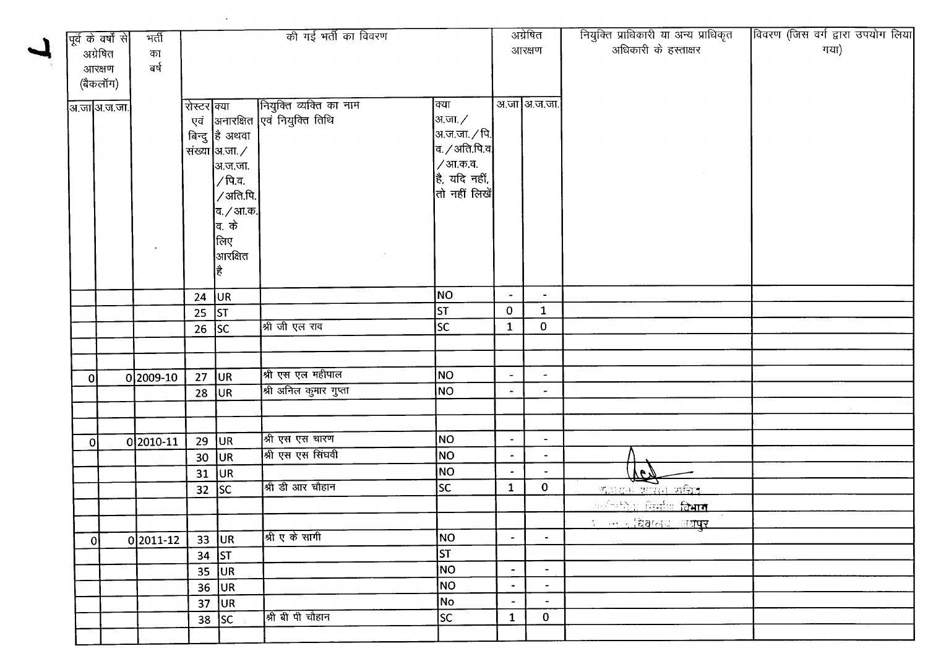|                | पूर्व के वर्षों से | मर्ती       |                 |                 | की गई भर्ती का विवरण             |                                                                   |                | अग्रेषित       | नियुक्ति प्राधिकारी या अन्य प्राधिकृत | विवरण (जिस वर्ग द्वारा उपयोग लिया |
|----------------|--------------------|-------------|-----------------|-----------------|----------------------------------|-------------------------------------------------------------------|----------------|----------------|---------------------------------------|-----------------------------------|
|                | अग्रेषित           | का          |                 |                 |                                  |                                                                   |                | आरक्षण         | अधिकारी के हस्ताक्षर                  | गया)                              |
|                | आरक्षण             | बर्ष        |                 |                 |                                  |                                                                   |                |                |                                       |                                   |
|                | (बैकलॉग)           |             |                 |                 |                                  |                                                                   |                |                |                                       |                                   |
|                |                    |             |                 |                 |                                  |                                                                   |                | अ.जा अ.ज.जा.   |                                       |                                   |
|                | अ.जा अ.ज.जा.       |             | रोस्टर क्या     |                 | नियुक्ति व्यक्ति का नाम          | क्या                                                              |                |                |                                       |                                   |
|                |                    |             |                 |                 | एवं  अनारक्षित एवं नियुक्ति तिथि | अ.जा. ∕                                                           |                |                |                                       |                                   |
|                |                    |             |                 | बिन्दु है अथवा  |                                  | अ.ज.जा. $\times$ पि. $^{\prime}$<br>व. $\diagup$ अति.पि.व $\big $ |                |                |                                       |                                   |
|                |                    |             |                 | संख्या अ.जा. ⁄  |                                  |                                                                   |                |                |                                       |                                   |
|                |                    |             |                 | अ.ज.जा.         |                                  | / आ.क.व.                                                          |                |                |                                       |                                   |
|                |                    |             |                 | / पि.व.         |                                  | $\vert$ है, यदि नहीं,<br>तो नहीं लिखें                            |                |                |                                       |                                   |
|                |                    |             |                 | /अति.पि.        |                                  |                                                                   |                |                |                                       |                                   |
|                |                    |             |                 | व. / आ.क.       |                                  |                                                                   |                |                |                                       |                                   |
|                |                    |             |                 | व. के           |                                  |                                                                   |                |                |                                       |                                   |
|                |                    |             |                 | लिए             |                                  |                                                                   |                |                |                                       |                                   |
|                |                    |             |                 | आरक्षित         |                                  |                                                                   |                |                |                                       |                                   |
|                |                    |             |                 | है              |                                  |                                                                   |                |                |                                       |                                   |
|                |                    |             | 24 $ UR$        |                 |                                  | NO                                                                | $\blacksquare$ | $\blacksquare$ |                                       |                                   |
|                |                    |             | 25 $ ST$        |                 |                                  | <b>ST</b>                                                         | $\mathbf{O}$   | $\mathbf{1}$   |                                       |                                   |
|                |                    |             | $26$ SC         |                 | श्री जी एल राव                   | <b>SC</b>                                                         | $\mathbf{1}$   | $\mathbf{0}$   |                                       |                                   |
|                |                    |             |                 |                 |                                  |                                                                   |                |                |                                       |                                   |
|                |                    |             |                 |                 |                                  |                                                                   |                |                |                                       |                                   |
| $\overline{0}$ |                    | $0 2009-10$ | 27              | UR <sub>1</sub> | श्री एस एल महीपाल                | NO                                                                | $\blacksquare$ | $\sim$         |                                       |                                   |
|                |                    |             | 28              | UR              | श्री अनिल कुमार गुप्ता           | NO <sub>1</sub>                                                   |                |                |                                       |                                   |
|                |                    |             |                 |                 |                                  |                                                                   |                |                |                                       |                                   |
|                |                    |             |                 |                 |                                  |                                                                   |                |                |                                       |                                   |
| Οl             |                    | 0 2010-11   | 29              | <b>JUR</b>      | श्री एस एस चारण                  | NO                                                                | $\blacksquare$ | $\blacksquare$ |                                       |                                   |
|                |                    |             | 30              | <b>JUR</b>      | श्री एस एस सिंघवी                | <b>NO</b>                                                         | $\bullet$      | $\blacksquare$ |                                       |                                   |
|                |                    |             | 31              | UR.             |                                  | <b>NO</b>                                                         |                |                | <u>Sed</u>                            |                                   |
|                |                    |             | 32 <sub>2</sub> | SC              | श्री डी आर चौहान                 | <b>SC</b>                                                         | $\mathbf{1}$   | $\mathbf{0}$   | KINDO BIRIO VIÊIL                     |                                   |
|                |                    |             |                 |                 |                                  |                                                                   |                |                | <u>ार्थव्यक्षिक विमाग विभाग</u>       |                                   |
|                |                    |             |                 |                 |                                  |                                                                   |                |                | ੀ ਜ਼ਿਆਦ ਗਿਆਨਾਟਾ ਸਥਾ <b>ਬਕ</b>         |                                   |
| $\mathbf{0}$   |                    | $0 2011-12$ |                 | $33$ UR         | श्री ए के सांगी                  | NO                                                                | $\blacksquare$ | $\blacksquare$ |                                       |                                   |
|                |                    |             |                 | 34 $ ST$        |                                  | <b>ST</b>                                                         |                |                |                                       |                                   |
|                |                    |             | 35              | <b>JUR</b>      |                                  | NO                                                                | $\blacksquare$ | $\blacksquare$ |                                       |                                   |
|                |                    |             | 36              | <b>JUR</b>      |                                  | NO                                                                | $\bullet$      | $\sim$         |                                       |                                   |
|                |                    |             | 37              | UR              | श्री बी पी चौहान                 | No                                                                | $\sim$         | $\sim$         |                                       |                                   |
|                |                    |             | 38              | SC              |                                  | <b>SC</b>                                                         | $\mathbf{1}$   | $\mathbf{0}$   |                                       |                                   |
|                |                    |             |                 |                 |                                  |                                                                   |                |                |                                       |                                   |

 $\mathcal{L}^{\text{max}}_{\text{max}}$  , where  $\mathcal{L}^{\text{max}}_{\text{max}}$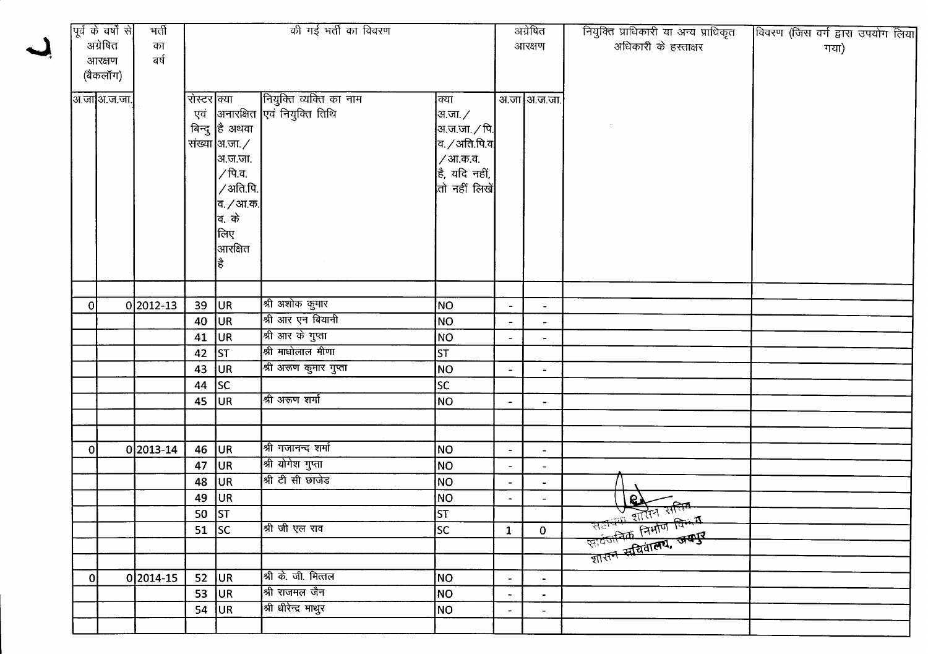|                | पूर्व के वर्षों से<br>अग्रेषित<br>आरक्षण | भर्ती<br>का<br>बर्ष | की गई भर्ती का विवरण                         |                                                                                                                                                     |                                                                                                                             |                                                                                                             |                                                                                                            | अग्रेषित<br>आरक्षण                                                                               | नियुक्ति प्राधिकारी या अन्य प्राधिकृत<br>अधिकारी के हस्ताक्षर                                                     | विवरण (जिस वर्ग द्वारा उपयोग लिया<br>गया) |
|----------------|------------------------------------------|---------------------|----------------------------------------------|-----------------------------------------------------------------------------------------------------------------------------------------------------|-----------------------------------------------------------------------------------------------------------------------------|-------------------------------------------------------------------------------------------------------------|------------------------------------------------------------------------------------------------------------|--------------------------------------------------------------------------------------------------|-------------------------------------------------------------------------------------------------------------------|-------------------------------------------|
|                | (बैकलॉग)<br>अ.जा अ.ज.जा.                 |                     | रोस्टर क्या                                  | बिन्दु है अथवा<br>संख्या $\vert$ अ.जा. $\angle$<br> अ.ज.जा.<br>∕ पि.व.<br>∕ अति.पि.<br> व. <i>/</i> आ.क.<br><b>बि. के</b><br>लिए<br> आरक्षित<br>∣ਵੈ | नियुक्ति व्यक्ति का नाम<br>एवं  अनारक्षित एवं नियुक्ति तिथि                                                                 | क्या<br> अ.जा. ∕<br> अ.ज.जा. $\sqrt{q}$  <br>व. / अति.पि.व $ $<br>/आ.क.व.<br>है, यदि नहीं,<br>तो नहीं लिखें |                                                                                                            | अ.जा आ.ज.जा.                                                                                     |                                                                                                                   |                                           |
| $\overline{0}$ |                                          | 0 2012-13           | 39<br>40<br>41<br>42<br>43<br>44<br>45       | UR<br>UR.<br> UR<br><b>ST</b><br>UR <sup>1</sup><br> SC <br>UR.                                                                                     | श्री अशोक कुमार<br>श्री आर एन बियानी<br>श्री आर के गुप्ता<br>श्री माधोलाल मीणा<br>श्री अरूण कुमार गुप्ता<br>श्री अरूण शर्मा | NO<br>NO.<br>NO<br><b>ST</b><br>NO<br><b>SC</b><br><b>NO</b>                                                | $\blacksquare$<br>$\blacksquare$<br>$\blacksquare$<br>$\overline{\phantom{a}}$<br>$\overline{\phantom{a}}$ | $\blacksquare$<br>$\blacksquare$<br>$\blacksquare$<br>$\blacksquare$                             |                                                                                                                   |                                           |
| οI             |                                          | $0 2013-14$         | 46<br>47<br>48<br>49<br>50 $ ST$<br>51 $ SC$ | <b>JUR</b><br><b>JUR</b><br><b>JUR</b><br>UR <sub></sub>                                                                                            | श्री गजानन्द शर्मा<br>श्री योगेश गुप्ता<br>श्री टी सी छाजेड<br>श्री जी एल राव                                               | N <sub>O</sub><br><b>NO</b><br>N <sub>O</sub><br><b>NO</b><br>lsт<br>lsc.                                   | $\blacksquare$<br>$\blacksquare$<br>$\blacksquare$<br>$\bullet$<br>$\mathbf{1}$                            | $\overline{\phantom{a}}$<br>$\overline{\phantom{a}}$<br>$\blacksquare$<br>$\sim$<br>$\mathbf{0}$ | <u>र सिन सत्तिम</u><br>अपने शासन सत्तिम<br>र राजनी शार्था किम्मी<br>राजनीय निर्माण विम्मी<br>राजन सचिवालय, जम्मूर |                                           |
| $\Omega$       |                                          | 0 2014-15           | 52<br>53<br>54                               | <b>JUR</b><br><b>JUR</b><br><b>JUR</b>                                                                                                              | श्री के. जी. मित्तल<br>श्री राजमल जैन<br>श्री धीरेन्द्र माथुर                                                               | NO<br>NO<br>NO                                                                                              | $\blacksquare$<br>$\blacksquare$<br>$\blacksquare$                                                         | $\blacksquare$<br>$\blacksquare$<br>$\blacksquare$                                               |                                                                                                                   |                                           |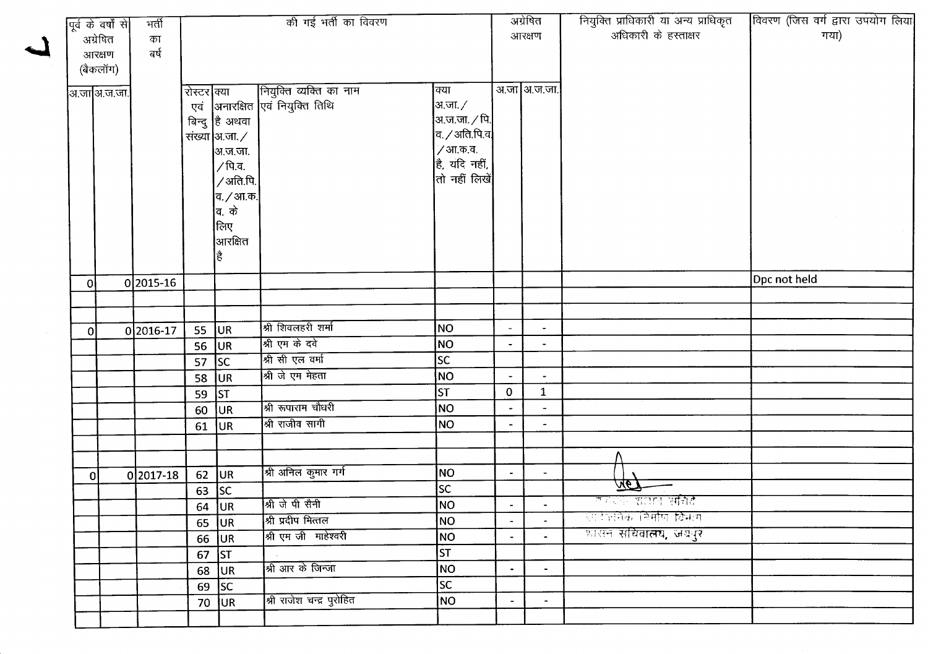| पूर्व के वर्षों से |              | भर्ती     | की गई भर्ती का विवरण |                        |                                 |                          |                       | अग्रेषित                 | नियुक्ति प्राधिकारी या अन्य प्राधिकृत | विवरण (जिस वर्ग द्वारा उपयोग लिया |
|--------------------|--------------|-----------|----------------------|------------------------|---------------------------------|--------------------------|-----------------------|--------------------------|---------------------------------------|-----------------------------------|
|                    | अग्रेषित     | का        |                      |                        |                                 |                          |                       | आरक्षण                   | अधिकारी के हस्ताक्षर                  | गया)                              |
|                    | आरक्षण       | নৰ্ষ      |                      |                        |                                 |                          |                       |                          |                                       |                                   |
|                    | (बैकलॉग)     |           |                      |                        |                                 |                          |                       |                          |                                       |                                   |
|                    | अ.जा अ.ज.जा. |           | रोस्टर क्या          |                        | नियुक्ति व्यक्ति का नाम         | क्या                     |                       | अ.जा अ.ज.जा.             |                                       |                                   |
|                    |              |           |                      |                        | एवं अनारक्षित एवं नियुक्ति तिथि | आ.जा. $\angle$           |                       |                          |                                       |                                   |
|                    |              |           |                      | बिन्दु है अथवा         |                                 | अ.ज.जा. $\sqrt{p}$       |                       |                          |                                       |                                   |
|                    |              |           |                      | संख्या  अ.जा. $\angle$ |                                 | $a$ . / अति.पि.व $\vert$ |                       |                          |                                       |                                   |
|                    |              |           |                      | अ.ज.जा.                |                                 | ∕ आ.क.व.                 |                       |                          |                                       |                                   |
|                    |              |           |                      | ∕ पि.व.                |                                 | है, यदि नहीं,            |                       |                          |                                       |                                   |
|                    |              |           |                      | /अति.पि.               |                                 | तो नहीं लिखें            |                       |                          |                                       |                                   |
|                    |              |           |                      | व. <i>/</i> आ.क.       |                                 |                          |                       |                          |                                       |                                   |
|                    |              |           |                      | व. के                  |                                 |                          |                       |                          |                                       |                                   |
|                    |              |           |                      | लिए                    |                                 |                          |                       |                          |                                       |                                   |
|                    |              |           |                      | आरक्षित                |                                 |                          |                       |                          |                                       |                                   |
|                    |              |           |                      |                        |                                 |                          |                       |                          |                                       |                                   |
| Οl                 |              | 02015-16  |                      |                        |                                 |                          |                       |                          |                                       | Dpc not held                      |
|                    |              |           |                      |                        |                                 |                          |                       |                          |                                       |                                   |
|                    |              |           |                      |                        |                                 |                          |                       |                          |                                       |                                   |
| οI                 |              | 0 2016-17 | 55 $ UR $            |                        | श्री शिवलहरी शर्मा              | <b>NO</b>                |                       | $\blacksquare$           |                                       |                                   |
|                    |              |           | 56                   | UR                     | श्री एम के दवे                  | NO                       |                       |                          |                                       |                                   |
|                    |              |           | 57                   | SC                     | श्री सी एल वर्मा                | $ \overline{sc} $        |                       |                          |                                       |                                   |
|                    |              |           | 58                   | <b>JUR</b>             | श्री जे एम मेहता                | NO                       | $\tilde{\phantom{a}}$ | $\blacksquare$           |                                       |                                   |
|                    |              |           | 59                   | $\vert$ ST             |                                 | st                       | 0                     | $\mathbf{1}$             |                                       |                                   |
|                    |              |           | 60                   | <b>JUR</b>             | श्री रूपाराम चौधरी              | NO                       |                       |                          |                                       |                                   |
|                    |              |           | 61                   | UR                     | श्री राजीव सागी                 | NO                       |                       | $\overline{\phantom{a}}$ |                                       |                                   |
|                    |              |           |                      |                        |                                 |                          |                       |                          |                                       |                                   |
|                    |              |           |                      |                        |                                 |                          |                       |                          |                                       |                                   |
| 0I                 |              | 0 2017-18 |                      | $62$ UR                | श्री अनिल कुमार गर्ग            | NO                       | $\bullet$             | $\blacksquare$           |                                       |                                   |
|                    |              |           |                      | 63 $ SC$               |                                 | SC.                      |                       |                          | <u> 197</u>                           |                                   |
|                    |              |           |                      | 64 $ UR $              | श्री जे पी सैनी                 | NO                       | $\sim$                |                          | लंबेटेके <b>शासन सचिदै</b>            |                                   |
|                    |              |           |                      | $65$ UR                | श्री प्रदीप मित्तल              | NO                       |                       |                          | एराउलेके निर्माण वि <del>भा</del> ग   |                                   |
|                    |              |           |                      | 66 $ UR $              | श्री एम जी माहेश्वरी            | NO                       |                       |                          | शासन <b>सचिवालय, जयपुर</b>            |                                   |
|                    |              |           |                      | $67$ ST                |                                 | $\overline{\mathsf{ST}}$ |                       |                          |                                       |                                   |
|                    |              |           |                      | $68$ UR                | श्री आर के जिन्जा               | NO                       | $\blacksquare$        | $\blacksquare$           |                                       |                                   |
|                    |              |           |                      | 69 $ SC$               |                                 | SC                       |                       |                          |                                       |                                   |
|                    |              |           |                      | 70 JUR                 | श्री राजेश चन्द्र पुरोहित       | <b>NO</b>                | $\blacksquare$        | $\overline{\phantom{a}}$ |                                       |                                   |
|                    |              |           |                      |                        |                                 |                          |                       |                          |                                       |                                   |
|                    |              |           |                      |                        |                                 |                          |                       |                          |                                       |                                   |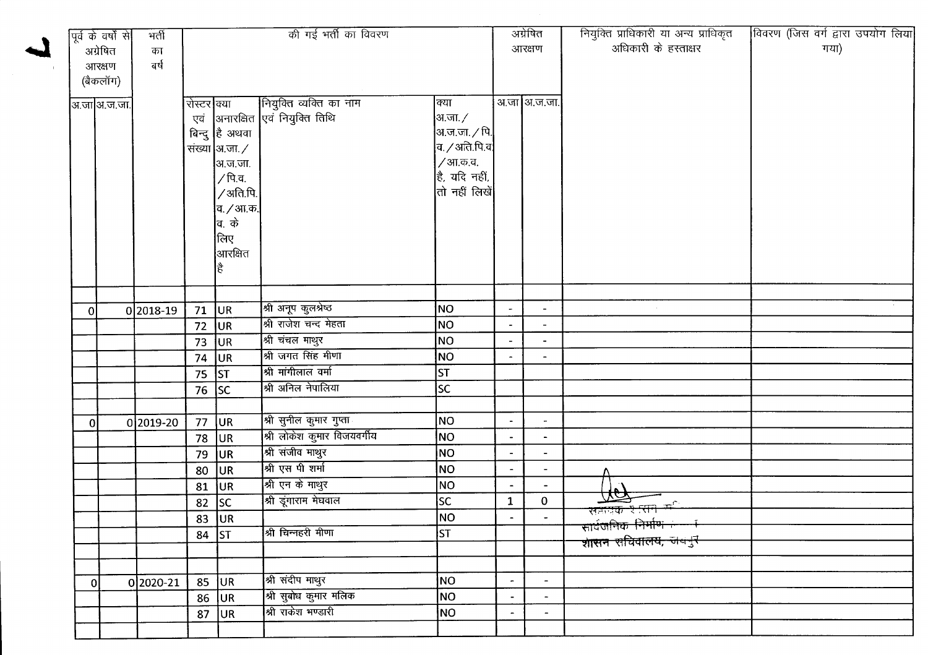|          | पूर्व के वर्षों से | भर्ती       | की गई भर्ती का विवरण |                               |                                  |                              |                | अग्रेषित                 | नियुक्ति प्राधिकारी या अन्य प्राधिकृत<br>अधिकारी के हस्ताक्षर | विवरण (जिस वर्ग द्वारा उपयोग लिया<br>गया) |
|----------|--------------------|-------------|----------------------|-------------------------------|----------------------------------|------------------------------|----------------|--------------------------|---------------------------------------------------------------|-------------------------------------------|
|          | अग्रेषित           | का          |                      |                               |                                  |                              | आरक्षण         |                          |                                                               |                                           |
|          | आरक्षण             | बर्ष        |                      |                               |                                  |                              |                |                          |                                                               |                                           |
|          | (बैकलॉग)           |             |                      |                               |                                  |                              |                |                          |                                                               |                                           |
|          | अ.जाआि.ज.जा.       |             | रोस्टर क्या          |                               | नियुक्ति व्यक्ति का नाम          | क्या                         |                | अ.जा अ.ज.जा.             |                                                               |                                           |
|          |                    |             |                      |                               | एवं अनारक्षित एवं नियुक्ति तिथि  | अ.जा. ∕                      |                |                          |                                                               |                                           |
|          |                    |             |                      | बिन्दु है अथवा                |                                  | अ.ज.जा. ∕ पि.                |                |                          |                                                               |                                           |
|          |                    |             |                      | संख्या $\vert$ अ.जा. $\angle$ |                                  | $ $ व. $\angle$ अति.पि.व $ $ |                |                          |                                                               |                                           |
|          |                    |             |                      | अ.ज.जा.                       |                                  | /आ.क.व.                      |                |                          |                                                               |                                           |
|          |                    |             |                      | ∕ पि.व.                       |                                  | $\vert$ है, यदि नहीं,        |                |                          |                                                               |                                           |
|          |                    |             |                      | /अति.पि.                      |                                  | $ $ तो नहीं लिखें $ $        |                |                          |                                                               |                                           |
|          |                    |             |                      | व. <i>/</i> आ.क.              |                                  |                              |                |                          |                                                               |                                           |
|          |                    |             |                      | वि. के                        |                                  |                              |                |                          |                                                               |                                           |
|          |                    |             |                      | लिए                           |                                  |                              |                |                          |                                                               |                                           |
|          |                    |             |                      | आरक्षित                       |                                  |                              |                |                          |                                                               |                                           |
|          |                    |             |                      |                               |                                  |                              |                |                          |                                                               |                                           |
|          |                    |             |                      |                               |                                  |                              |                |                          |                                                               |                                           |
| $\bf{0}$ |                    | 0 2018-19   | 71                   | UR                            | श्री अनूप कुलश्रेष्ठ             | NO                           |                | $\overline{\phantom{a}}$ |                                                               |                                           |
|          |                    |             | 72                   | UR                            | श्री राजेश चन्द मेहता            | NO                           |                |                          |                                                               |                                           |
|          |                    |             | 73                   | UR.                           | श्री चंचल माथुर                  | NO                           |                | $\overline{\phantom{a}}$ |                                                               |                                           |
|          |                    |             | 74                   | UR                            | श्री जगत सिंह मीणा               | NO                           |                |                          |                                                               |                                           |
|          |                    |             | 75 $\vert$ ST        |                               | श्री मांगीलाल वर्मा              | ST                           |                |                          |                                                               |                                           |
|          |                    |             | $\overline{76}$ SC   |                               | श्री अनिल नेपालिया               | <b>SC</b>                    |                |                          |                                                               |                                           |
|          |                    |             |                      |                               |                                  |                              |                |                          |                                                               |                                           |
| $\bf{0}$ |                    | $0 2019-20$ | 77                   | UR.                           | श्री सुनील कुमार गुप्ता <u>।</u> | NO.                          | $\blacksquare$ | $\overline{\phantom{a}}$ |                                                               |                                           |
|          |                    |             | 78                   | <b>JUR</b>                    | श्री लोकेश कुमार विजयवर्गीय      | NO                           | $\blacksquare$ | $\hat{\phantom{a}}$      |                                                               |                                           |
|          |                    |             | 79                   | UR                            | श्री संजीव माथुर                 | NO                           | $\blacksquare$ | $\blacksquare$           |                                                               |                                           |
|          |                    |             | 80                   | UR.                           | श्री एस पी शर्मा                 | NO                           |                |                          |                                                               |                                           |
|          |                    |             | 81                   | <b>JUR</b>                    | श्री एन के माथुर                 | NO.                          | $\blacksquare$ |                          |                                                               |                                           |
|          |                    |             | 82                   | SC                            | श्री डूंगाराम मेघवाल             | SC                           | $\mathbf{1}$   | $\mathbf 0$              | $\overline{\mathcal{M}}$<br>सम्राप्तक र सन <sub>्</sub> त्र   |                                           |
|          |                    |             |                      | $83$ UR                       |                                  | NO                           | $\blacksquare$ |                          | सावजनिक निर्माण <del>है ज</del>                               |                                           |
|          |                    |             | 84 $ ST$             |                               | श्री चिन्नहरी मीणा               | ST                           |                |                          | <del>शासन सचिवालय, जयनुर</del>                                |                                           |
|          |                    |             |                      |                               |                                  |                              |                |                          |                                                               |                                           |
|          |                    |             |                      |                               |                                  |                              |                |                          |                                                               |                                           |
| $\Omega$ |                    | 02020-21    |                      | $85$ UR                       | श्री संदीप माथुर                 | NO                           | $\blacksquare$ | $\blacksquare$           |                                                               |                                           |
|          |                    |             |                      | $86$ UR                       | <br> श्री सुबोध कुमार मलिक       | NO                           |                |                          |                                                               |                                           |
|          |                    |             | 87                   | <b>JUR</b>                    | श्री राकेश भण्डारी               | NO.                          | $\blacksquare$ | $\overline{\phantom{a}}$ |                                                               |                                           |
|          |                    |             |                      |                               |                                  |                              |                |                          |                                                               |                                           |